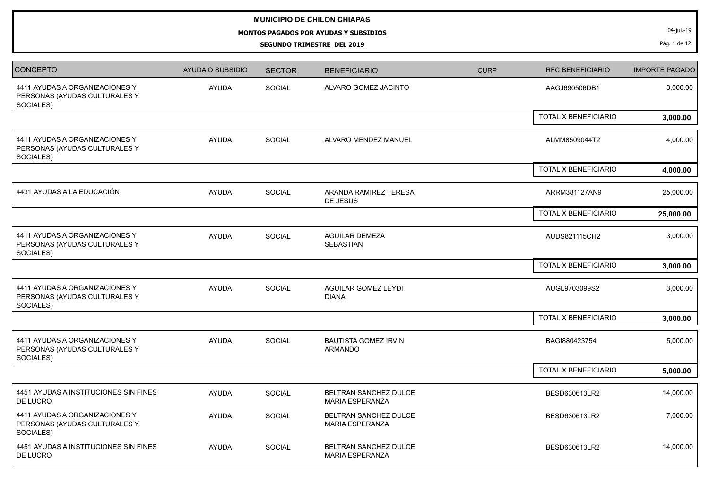## **MUNICIPIO DE CHILON CHIAPAS**

## **MONTOS PAGADOS POR AYUDAS Y SUBSIDIOS**

**SEGUNDO TRIMESTRE DEL 2019**

04-jul.-19

Pág. 1 de 12

| <b>CONCEPTO</b>                                                              | <b>AYUDA O SUBSIDIO</b> | <b>SECTOR</b> | <b>BENEFICIARIO</b>                             | <b>CURP</b> | <b>RFC BENEFICIARIO</b> | <b>IMPORTE PAGADO</b> |
|------------------------------------------------------------------------------|-------------------------|---------------|-------------------------------------------------|-------------|-------------------------|-----------------------|
| 4411 AYUDAS A ORGANIZACIONES Y<br>PERSONAS (AYUDAS CULTURALES Y<br>SOCIALES) | <b>AYUDA</b>            | SOCIAL        | ALVARO GOMEZ JACINTO                            |             | AAGJ690506DB1           | 3,000.00              |
|                                                                              |                         |               |                                                 |             | TOTAL X BENEFICIARIO    | 3,000.00              |
| 4411 AYUDAS A ORGANIZACIONES Y<br>PERSONAS (AYUDAS CULTURALES Y<br>SOCIALES) | <b>AYUDA</b>            | SOCIAL        | ALVARO MENDEZ MANUEL                            |             | ALMM8509044T2           | 4,000.00              |
|                                                                              |                         |               |                                                 |             | TOTAL X BENEFICIARIO    | 4,000.00              |
| 4431 AYUDAS A LA EDUCACIÓN                                                   | <b>AYUDA</b>            | SOCIAL        | ARANDA RAMIREZ TERESA<br>DE JESUS               |             | ARRM381127AN9           | 25,000.00             |
|                                                                              |                         |               |                                                 |             | TOTAL X BENEFICIARIO    | 25,000.00             |
| 4411 AYUDAS A ORGANIZACIONES Y<br>PERSONAS (AYUDAS CULTURALES Y<br>SOCIALES) | <b>AYUDA</b>            | <b>SOCIAL</b> | <b>AGUILAR DEMEZA</b><br>SEBASTIAN              |             | AUDS821115CH2           | 3,000.00              |
|                                                                              |                         |               |                                                 |             | TOTAL X BENEFICIARIO    | 3,000.00              |
| 4411 AYUDAS A ORGANIZACIONES Y<br>PERSONAS (AYUDAS CULTURALES Y<br>SOCIALES) | <b>AYUDA</b>            | SOCIAL        | <b>AGUILAR GOMEZ LEYDI</b><br><b>DIANA</b>      |             | AUGL9703099S2           | 3,000.00              |
|                                                                              |                         |               |                                                 |             | TOTAL X BENEFICIARIO    | 3,000.00              |
| 4411 AYUDAS A ORGANIZACIONES Y<br>PERSONAS (AYUDAS CULTURALES Y<br>SOCIALES) | <b>AYUDA</b>            | SOCIAL        | <b>BAUTISTA GOMEZ IRVIN</b><br><b>ARMANDO</b>   |             | BAGI880423754           | 5,000.00              |
|                                                                              |                         |               |                                                 |             | TOTAL X BENEFICIARIO    | 5,000.00              |
| 4451 AYUDAS A INSTITUCIONES SIN FINES<br>DE LUCRO                            | <b>AYUDA</b>            | SOCIAL        | BELTRAN SANCHEZ DULCE<br>MARIA ESPERANZA        |             | BESD630613LR2           | 14,000.00             |
| 4411 AYUDAS A ORGANIZACIONES Y<br>PERSONAS (AYUDAS CULTURALES Y<br>SOCIALES) | <b>AYUDA</b>            | SOCIAL        | BELTRAN SANCHEZ DULCE<br><b>MARIA ESPERANZA</b> |             | BESD630613LR2           | 7,000.00              |
| 4451 AYUDAS A INSTITUCIONES SIN FINES<br>DE LUCRO                            | <b>AYUDA</b>            | <b>SOCIAL</b> | BELTRAN SANCHEZ DULCE<br><b>MARIA ESPERANZA</b> |             | BESD630613LR2           | 14,000.00             |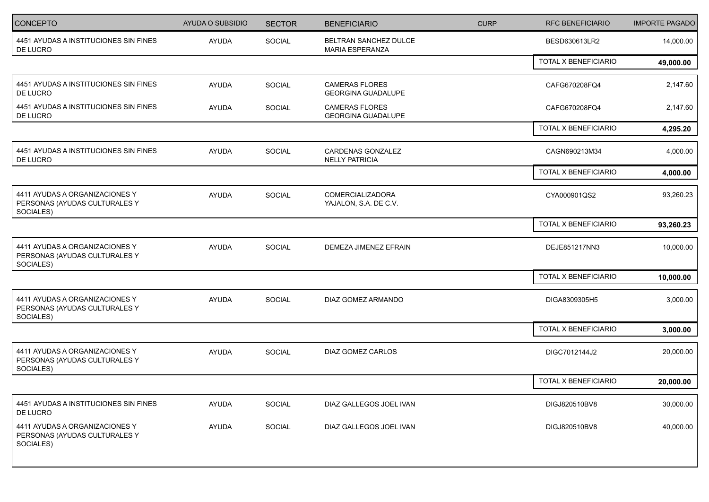| CONCEPTO                                                                     | AYUDA O SUBSIDIO | <b>SECTOR</b> | <b>BENEFICIARIO</b>                                | <b>CURP</b> | <b>RFC BENEFICIARIO</b> | <b>IMPORTE PAGADO</b> |
|------------------------------------------------------------------------------|------------------|---------------|----------------------------------------------------|-------------|-------------------------|-----------------------|
| 4451 AYUDAS A INSTITUCIONES SIN FINES<br>DE LUCRO                            | AYUDA            | SOCIAL        | BELTRAN SANCHEZ DULCE<br><b>MARIA ESPERANZA</b>    |             | BESD630613LR2           | 14,000.00             |
|                                                                              |                  |               |                                                    |             | TOTAL X BENEFICIARIO    | 49,000.00             |
| 4451 AYUDAS A INSTITUCIONES SIN FINES<br>DE LUCRO                            | <b>AYUDA</b>     | SOCIAL        | <b>CAMERAS FLORES</b><br><b>GEORGINA GUADALUPE</b> |             | CAFG670208FQ4           | 2,147.60              |
| 4451 AYUDAS A INSTITUCIONES SIN FINES<br>DE LUCRO                            | <b>AYUDA</b>     | SOCIAL        | <b>CAMERAS FLORES</b><br><b>GEORGINA GUADALUPE</b> |             | CAFG670208FQ4           | 2,147.60              |
|                                                                              |                  |               |                                                    |             | TOTAL X BENEFICIARIO    | 4,295.20              |
| 4451 AYUDAS A INSTITUCIONES SIN FINES<br>DE LUCRO                            | <b>AYUDA</b>     | SOCIAL        | CARDENAS GONZALEZ<br><b>NELLY PATRICIA</b>         |             | CAGN690213M34           | 4,000.00              |
|                                                                              |                  |               |                                                    |             | TOTAL X BENEFICIARIO    | 4,000.00              |
| 4411 AYUDAS A ORGANIZACIONES Y<br>PERSONAS (AYUDAS CULTURALES Y<br>SOCIALES) | AYUDA            | SOCIAL        | COMERCIALIZADORA<br>YAJALON, S.A. DE C.V.          |             | CYA000901QS2            | 93,260.23             |
|                                                                              |                  |               |                                                    |             | TOTAL X BENEFICIARIO    | 93,260.23             |
| 4411 AYUDAS A ORGANIZACIONES Y<br>PERSONAS (AYUDAS CULTURALES Y<br>SOCIALES) | <b>AYUDA</b>     | SOCIAL        | DEMEZA JIMENEZ EFRAIN                              |             | DEJE851217NN3           | 10,000.00             |
|                                                                              |                  |               |                                                    |             | TOTAL X BENEFICIARIO    | 10,000.00             |
| 4411 AYUDAS A ORGANIZACIONES Y<br>PERSONAS (AYUDAS CULTURALES Y<br>SOCIALES) | <b>AYUDA</b>     | SOCIAL        | DIAZ GOMEZ ARMANDO                                 |             | DIGA8309305H5           | 3,000.00              |
|                                                                              |                  |               |                                                    |             | TOTAL X BENEFICIARIO    | 3,000.00              |
| 4411 AYUDAS A ORGANIZACIONES Y<br>PERSONAS (AYUDAS CULTURALES Y<br>SOCIALES) | <b>AYUDA</b>     | SOCIAL        | DIAZ GOMEZ CARLOS                                  |             | DIGC7012144J2           | 20,000.00             |
|                                                                              |                  |               |                                                    |             | TOTAL X BENEFICIARIO    | 20,000.00             |
| 4451 AYUDAS A INSTITUCIONES SIN FINES<br>DE LUCRO                            | <b>AYUDA</b>     | SOCIAL        | DIAZ GALLEGOS JOEL IVAN                            |             | DIGJ820510BV8           | 30,000.00             |
| 4411 AYUDAS A ORGANIZACIONES Y<br>PERSONAS (AYUDAS CULTURALES Y<br>SOCIALES) | AYUDA            | SOCIAL        | DIAZ GALLEGOS JOEL IVAN                            |             | DIGJ820510BV8           | 40,000.00             |
|                                                                              |                  |               |                                                    |             |                         |                       |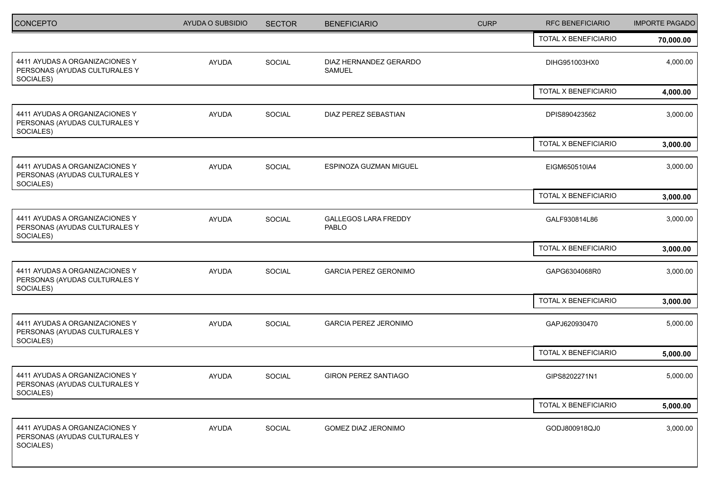| <b>CONCEPTO</b>                                                              | AYUDA O SUBSIDIO | <b>SECTOR</b> | <b>BENEFICIARIO</b>                  | <b>CURP</b> | RFC BENEFICIARIO     | <b>IMPORTE PAGADO</b> |
|------------------------------------------------------------------------------|------------------|---------------|--------------------------------------|-------------|----------------------|-----------------------|
|                                                                              |                  |               |                                      |             | TOTAL X BENEFICIARIO | 70,000.00             |
| 4411 AYUDAS A ORGANIZACIONES Y<br>PERSONAS (AYUDAS CULTURALES Y<br>SOCIALES) | <b>AYUDA</b>     | SOCIAL        | DIAZ HERNANDEZ GERARDO<br>SAMUEL     |             | DIHG951003HX0        | 4,000.00              |
|                                                                              |                  |               |                                      |             | TOTAL X BENEFICIARIO | 4,000.00              |
| 4411 AYUDAS A ORGANIZACIONES Y<br>PERSONAS (AYUDAS CULTURALES Y<br>SOCIALES) | <b>AYUDA</b>     | <b>SOCIAL</b> | DIAZ PEREZ SEBASTIAN                 |             | DPIS890423562        | 3,000.00              |
|                                                                              |                  |               |                                      |             | TOTAL X BENEFICIARIO | 3,000.00              |
| 4411 AYUDAS A ORGANIZACIONES Y<br>PERSONAS (AYUDAS CULTURALES Y<br>SOCIALES) | <b>AYUDA</b>     | <b>SOCIAL</b> | ESPINOZA GUZMAN MIGUEL               |             | EIGM650510IA4        | 3,000.00              |
|                                                                              |                  |               |                                      |             | TOTAL X BENEFICIARIO | 3,000.00              |
| 4411 AYUDAS A ORGANIZACIONES Y<br>PERSONAS (AYUDAS CULTURALES Y<br>SOCIALES) | <b>AYUDA</b>     | <b>SOCIAL</b> | <b>GALLEGOS LARA FREDDY</b><br>PABLO |             | GALF930814L86        | 3,000.00              |
|                                                                              |                  |               |                                      |             | TOTAL X BENEFICIARIO | 3,000.00              |
| 4411 AYUDAS A ORGANIZACIONES Y<br>PERSONAS (AYUDAS CULTURALES Y<br>SOCIALES) | <b>AYUDA</b>     | SOCIAL        | <b>GARCIA PEREZ GERONIMO</b>         |             | GAPG6304068R0        | 3,000.00              |
|                                                                              |                  |               |                                      |             | TOTAL X BENEFICIARIO | 3,000.00              |
| 4411 AYUDAS A ORGANIZACIONES Y<br>PERSONAS (AYUDAS CULTURALES Y<br>SOCIALES) | <b>AYUDA</b>     | SOCIAL        | <b>GARCIA PEREZ JERONIMO</b>         |             | GAPJ620930470        | 5,000.00              |
|                                                                              |                  |               |                                      |             | TOTAL X BENEFICIARIO | 5,000.00              |
| 4411 AYUDAS A ORGANIZACIONES Y<br>PERSONAS (AYUDAS CULTURALES Y<br>SOCIALES) | <b>AYUDA</b>     | <b>SOCIAL</b> | <b>GIRON PEREZ SANTIAGO</b>          |             | GIPS8202271N1        | 5,000.00              |
|                                                                              |                  |               |                                      |             | TOTAL X BENEFICIARIO | 5,000.00              |
| 4411 AYUDAS A ORGANIZACIONES Y<br>PERSONAS (AYUDAS CULTURALES Y<br>SOCIALES) | AYUDA            | SOCIAL        | GOMEZ DIAZ JERONIMO                  |             | GODJ800918QJ0        | 3,000.00              |
|                                                                              |                  |               |                                      |             |                      |                       |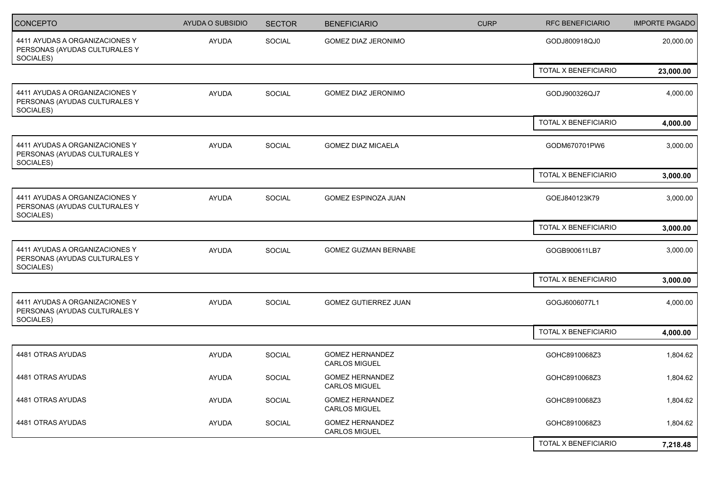| <b>CONCEPTO</b>                                                              | <b>AYUDA O SUBSIDIO</b> | <b>SECTOR</b> | <b>BENEFICIARIO</b>                            | <b>CURP</b> | <b>RFC BENEFICIARIO</b>     | <b>IMPORTE PAGADO</b> |
|------------------------------------------------------------------------------|-------------------------|---------------|------------------------------------------------|-------------|-----------------------------|-----------------------|
| 4411 AYUDAS A ORGANIZACIONES Y<br>PERSONAS (AYUDAS CULTURALES Y<br>SOCIALES) | AYUDA                   | SOCIAL        | <b>GOMEZ DIAZ JERONIMO</b>                     |             | GODJ800918QJ0               | 20,000.00             |
|                                                                              |                         |               |                                                |             | TOTAL X BENEFICIARIO        | 23,000.00             |
| 4411 AYUDAS A ORGANIZACIONES Y<br>PERSONAS (AYUDAS CULTURALES Y<br>SOCIALES) | <b>AYUDA</b>            | SOCIAL        | GOMEZ DIAZ JERONIMO                            |             | GODJ900326QJ7               | 4,000.00              |
|                                                                              |                         |               |                                                |             | TOTAL X BENEFICIARIO        | 4,000.00              |
| 4411 AYUDAS A ORGANIZACIONES Y<br>PERSONAS (AYUDAS CULTURALES Y<br>SOCIALES) | <b>AYUDA</b>            | <b>SOCIAL</b> | <b>GOMEZ DIAZ MICAELA</b>                      |             | GODM670701PW6               | 3,000.00              |
|                                                                              |                         |               |                                                |             | <b>TOTAL X BENEFICIARIO</b> | 3,000.00              |
| 4411 AYUDAS A ORGANIZACIONES Y<br>PERSONAS (AYUDAS CULTURALES Y<br>SOCIALES) | <b>AYUDA</b>            | <b>SOCIAL</b> | <b>GOMEZ ESPINOZA JUAN</b>                     |             | GOEJ840123K79               | 3,000.00              |
|                                                                              |                         |               |                                                |             | TOTAL X BENEFICIARIO        | 3,000.00              |
| 4411 AYUDAS A ORGANIZACIONES Y<br>PERSONAS (AYUDAS CULTURALES Y<br>SOCIALES) | <b>AYUDA</b>            | SOCIAL        | <b>GOMEZ GUZMAN BERNABE</b>                    |             | GOGB900611LB7               | 3,000.00              |
|                                                                              |                         |               |                                                |             | TOTAL X BENEFICIARIO        | 3,000.00              |
| 4411 AYUDAS A ORGANIZACIONES Y<br>PERSONAS (AYUDAS CULTURALES Y<br>SOCIALES) | <b>AYUDA</b>            | <b>SOCIAL</b> | GOMEZ GUTIERREZ JUAN                           |             | GOGJ6006077L1               | 4,000.00              |
|                                                                              |                         |               |                                                |             | TOTAL X BENEFICIARIO        | 4,000.00              |
| 4481 OTRAS AYUDAS                                                            | <b>AYUDA</b>            | SOCIAL        | <b>GOMEZ HERNANDEZ</b><br><b>CARLOS MIGUEL</b> |             | GOHC8910068Z3               | 1,804.62              |
| 4481 OTRAS AYUDAS                                                            | <b>AYUDA</b>            | SOCIAL        | <b>GOMEZ HERNANDEZ</b><br><b>CARLOS MIGUEL</b> |             | GOHC8910068Z3               | 1,804.62              |
| 4481 OTRAS AYUDAS                                                            | AYUDA                   | SOCIAL        | <b>GOMEZ HERNANDEZ</b><br><b>CARLOS MIGUEL</b> |             | GOHC8910068Z3               | 1,804.62              |
| 4481 OTRAS AYUDAS                                                            | <b>AYUDA</b>            | SOCIAL        | <b>GOMEZ HERNANDEZ</b><br><b>CARLOS MIGUEL</b> |             | GOHC8910068Z3               | 1,804.62              |
|                                                                              |                         |               |                                                |             | TOTAL X BENEFICIARIO        | 7,218.48              |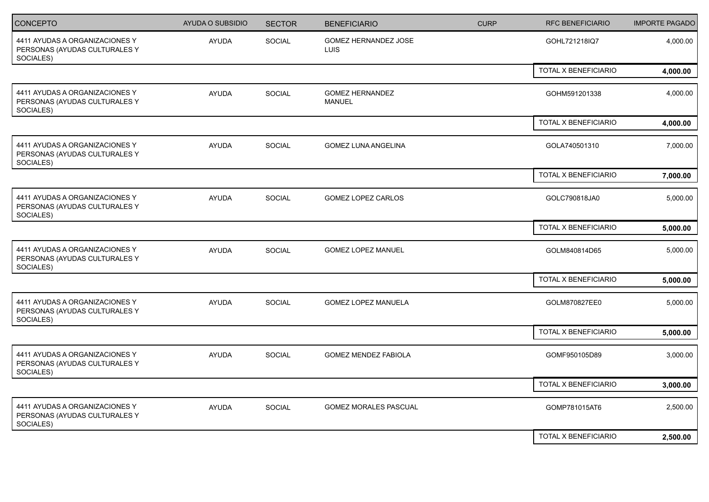| <b>CONCEPTO</b>                                                              | <b>AYUDA O SUBSIDIO</b> | <b>SECTOR</b> | <b>BENEFICIARIO</b>                     | <b>CURP</b> | <b>RFC BENEFICIARIO</b>     | <b>IMPORTE PAGADO</b> |
|------------------------------------------------------------------------------|-------------------------|---------------|-----------------------------------------|-------------|-----------------------------|-----------------------|
| 4411 AYUDAS A ORGANIZACIONES Y<br>PERSONAS (AYUDAS CULTURALES Y<br>SOCIALES) | <b>AYUDA</b>            | SOCIAL        | GOMEZ HERNANDEZ JOSE<br><b>LUIS</b>     |             | GOHL721218IQ7               | 4,000.00              |
|                                                                              |                         |               |                                         |             | <b>TOTAL X BENEFICIARIO</b> | 4,000.00              |
| 4411 AYUDAS A ORGANIZACIONES Y<br>PERSONAS (AYUDAS CULTURALES Y<br>SOCIALES) | <b>AYUDA</b>            | SOCIAL        | <b>GOMEZ HERNANDEZ</b><br><b>MANUEL</b> |             | GOHM591201338               | 4,000.00              |
|                                                                              |                         |               |                                         |             | TOTAL X BENEFICIARIO        | 4,000.00              |
| 4411 AYUDAS A ORGANIZACIONES Y<br>PERSONAS (AYUDAS CULTURALES Y<br>SOCIALES) | <b>AYUDA</b>            | SOCIAL        | <b>GOMEZ LUNA ANGELINA</b>              |             | GOLA740501310               | 7,000.00              |
|                                                                              |                         |               |                                         |             | TOTAL X BENEFICIARIO        | 7,000.00              |
| 4411 AYUDAS A ORGANIZACIONES Y<br>PERSONAS (AYUDAS CULTURALES Y<br>SOCIALES) | AYUDA                   | SOCIAL        | <b>GOMEZ LOPEZ CARLOS</b>               |             | GOLC790818JA0               | 5,000.00              |
|                                                                              |                         |               |                                         |             | TOTAL X BENEFICIARIO        | 5,000.00              |
| 4411 AYUDAS A ORGANIZACIONES Y<br>PERSONAS (AYUDAS CULTURALES Y<br>SOCIALES) | <b>AYUDA</b>            | SOCIAL        | <b>GOMEZ LOPEZ MANUEL</b>               |             | GOLM840814D65               | 5,000.00              |
|                                                                              |                         |               |                                         |             | TOTAL X BENEFICIARIO        | 5,000.00              |
| 4411 AYUDAS A ORGANIZACIONES Y<br>PERSONAS (AYUDAS CULTURALES Y<br>SOCIALES) | AYUDA                   | SOCIAL        | GOMEZ LOPEZ MANUELA                     |             | GOLM870827EE0               | 5,000.00              |
|                                                                              |                         |               |                                         |             | TOTAL X BENEFICIARIO        | 5,000.00              |
| 4411 AYUDAS A ORGANIZACIONES Y<br>PERSONAS (AYUDAS CULTURALES Y<br>SOCIALES) | <b>AYUDA</b>            | SOCIAL        | <b>GOMEZ MENDEZ FABIOLA</b>             |             | GOMF950105D89               | 3,000.00              |
|                                                                              |                         |               |                                         |             | TOTAL X BENEFICIARIO        | 3,000.00              |
| 4411 AYUDAS A ORGANIZACIONES Y<br>PERSONAS (AYUDAS CULTURALES Y<br>SOCIALES) | AYUDA                   | SOCIAL        | <b>GOMEZ MORALES PASCUAL</b>            |             | GOMP781015AT6               | 2,500.00              |
|                                                                              |                         |               |                                         |             | TOTAL X BENEFICIARIO        | 2,500.00              |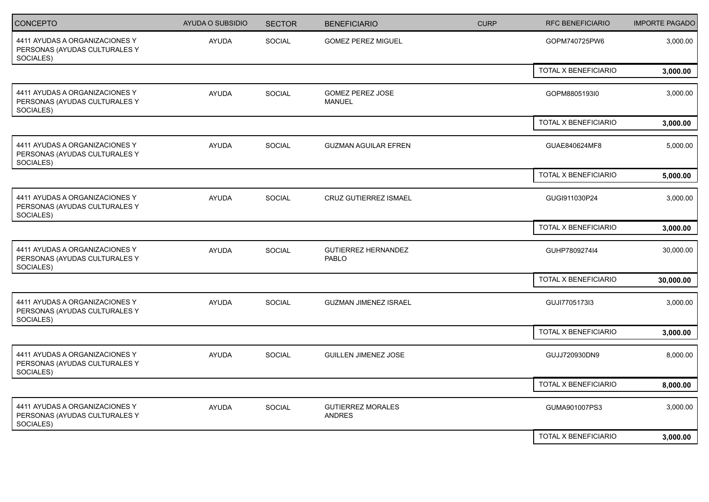| <b>CONCEPTO</b>                                                              | <b>AYUDA O SUBSIDIO</b> | <b>SECTOR</b> | <b>BENEFICIARIO</b>                        | <b>CURP</b> | <b>RFC BENEFICIARIO</b>     | <b>IMPORTE PAGADO</b> |
|------------------------------------------------------------------------------|-------------------------|---------------|--------------------------------------------|-------------|-----------------------------|-----------------------|
| 4411 AYUDAS A ORGANIZACIONES Y<br>PERSONAS (AYUDAS CULTURALES Y<br>SOCIALES) | <b>AYUDA</b>            | SOCIAL        | <b>GOMEZ PEREZ MIGUEL</b>                  |             | GOPM740725PW6               | 3,000.00              |
|                                                                              |                         |               |                                            |             | <b>TOTAL X BENEFICIARIO</b> | 3,000.00              |
| 4411 AYUDAS A ORGANIZACIONES Y<br>PERSONAS (AYUDAS CULTURALES Y<br>SOCIALES) | <b>AYUDA</b>            | SOCIAL        | GOMEZ PEREZ JOSE<br>MANUEL                 |             | GOPM8805193I0               | 3,000.00              |
|                                                                              |                         |               |                                            |             | TOTAL X BENEFICIARIO        | 3,000.00              |
| 4411 AYUDAS A ORGANIZACIONES Y<br>PERSONAS (AYUDAS CULTURALES Y<br>SOCIALES) | <b>AYUDA</b>            | SOCIAL        | <b>GUZMAN AGUILAR EFREN</b>                |             | GUAE840624MF8               | 5,000.00              |
|                                                                              |                         |               |                                            |             | TOTAL X BENEFICIARIO        | 5,000.00              |
| 4411 AYUDAS A ORGANIZACIONES Y<br>PERSONAS (AYUDAS CULTURALES Y<br>SOCIALES) | AYUDA                   | SOCIAL        | CRUZ GUTIERREZ ISMAEL                      |             | GUGI911030P24               | 3,000.00              |
|                                                                              |                         |               |                                            |             | TOTAL X BENEFICIARIO        | 3,000.00              |
| 4411 AYUDAS A ORGANIZACIONES Y<br>PERSONAS (AYUDAS CULTURALES Y<br>SOCIALES) | <b>AYUDA</b>            | SOCIAL        | <b>GUTIERREZ HERNANDEZ</b><br><b>PABLO</b> |             | GUHP780927414               | 30,000.00             |
|                                                                              |                         |               |                                            |             | TOTAL X BENEFICIARIO        | 30,000.00             |
| 4411 AYUDAS A ORGANIZACIONES Y<br>PERSONAS (AYUDAS CULTURALES Y<br>SOCIALES) | AYUDA                   | SOCIAL        | <b>GUZMAN JIMENEZ ISRAEL</b>               |             | GUJI7705173I3               | 3,000.00              |
|                                                                              |                         |               |                                            |             | TOTAL X BENEFICIARIO        | 3,000.00              |
| 4411 AYUDAS A ORGANIZACIONES Y<br>PERSONAS (AYUDAS CULTURALES Y<br>SOCIALES) | <b>AYUDA</b>            | SOCIAL        | <b>GUILLEN JIMENEZ JOSE</b>                |             | GUJJ720930DN9               | 8,000.00              |
|                                                                              |                         |               |                                            |             | TOTAL X BENEFICIARIO        | 8,000.00              |
| 4411 AYUDAS A ORGANIZACIONES Y<br>PERSONAS (AYUDAS CULTURALES Y<br>SOCIALES) | AYUDA                   | SOCIAL        | <b>GUTIERREZ MORALES</b><br>ANDRES         |             | GUMA901007PS3               | 3,000.00              |
|                                                                              |                         |               |                                            |             | TOTAL X BENEFICIARIO        | 3,000.00              |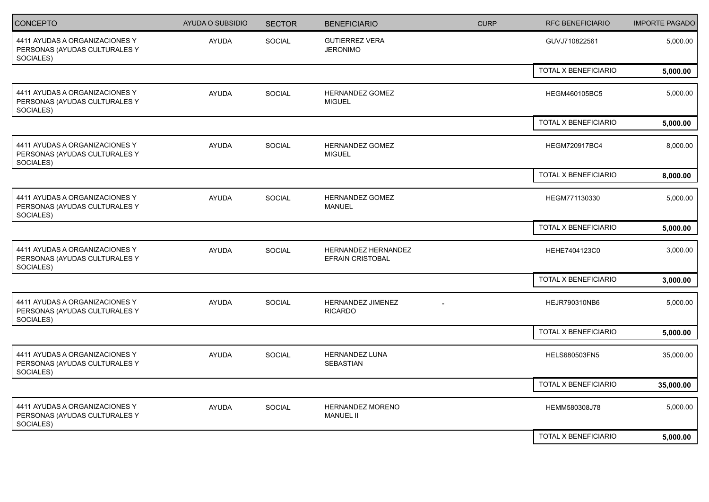| <b>CONCEPTO</b>                                                              | <b>AYUDA O SUBSIDIO</b> | <b>SECTOR</b> | <b>BENEFICIARIO</b>                            | <b>CURP</b> | <b>RFC BENEFICIARIO</b>     | <b>IMPORTE PAGADO</b> |
|------------------------------------------------------------------------------|-------------------------|---------------|------------------------------------------------|-------------|-----------------------------|-----------------------|
| 4411 AYUDAS A ORGANIZACIONES Y<br>PERSONAS (AYUDAS CULTURALES Y<br>SOCIALES) | <b>AYUDA</b>            | SOCIAL        | <b>GUTIERREZ VERA</b><br><b>JERONIMO</b>       |             | GUVJ710822561               | 5,000.00              |
|                                                                              |                         |               |                                                |             | <b>TOTAL X BENEFICIARIO</b> | 5,000.00              |
| 4411 AYUDAS A ORGANIZACIONES Y<br>PERSONAS (AYUDAS CULTURALES Y<br>SOCIALES) | <b>AYUDA</b>            | SOCIAL        | HERNANDEZ GOMEZ<br><b>MIGUEL</b>               |             | HEGM460105BC5               | 5,000.00              |
|                                                                              |                         |               |                                                |             | TOTAL X BENEFICIARIO        | 5,000.00              |
| 4411 AYUDAS A ORGANIZACIONES Y<br>PERSONAS (AYUDAS CULTURALES Y<br>SOCIALES) | <b>AYUDA</b>            | SOCIAL        | HERNANDEZ GOMEZ<br><b>MIGUEL</b>               |             | <b>HEGM720917BC4</b>        | 8,000.00              |
|                                                                              |                         |               |                                                |             | TOTAL X BENEFICIARIO        | 8,000.00              |
| 4411 AYUDAS A ORGANIZACIONES Y<br>PERSONAS (AYUDAS CULTURALES Y<br>SOCIALES) | AYUDA                   | SOCIAL        | HERNANDEZ GOMEZ<br><b>MANUEL</b>               |             | HEGM771130330               | 5,000.00              |
|                                                                              |                         |               |                                                |             | TOTAL X BENEFICIARIO        | 5,000.00              |
| 4411 AYUDAS A ORGANIZACIONES Y<br>PERSONAS (AYUDAS CULTURALES Y<br>SOCIALES) | <b>AYUDA</b>            | SOCIAL        | HERNANDEZ HERNANDEZ<br><b>EFRAIN CRISTOBAL</b> |             | HEHE7404123C0               | 3,000.00              |
|                                                                              |                         |               |                                                |             | TOTAL X BENEFICIARIO        | 3,000.00              |
| 4411 AYUDAS A ORGANIZACIONES Y<br>PERSONAS (AYUDAS CULTURALES Y<br>SOCIALES) | AYUDA                   | SOCIAL        | HERNANDEZ JIMENEZ<br><b>RICARDO</b>            |             | HEJR790310NB6               | 5,000.00              |
|                                                                              |                         |               |                                                |             | TOTAL X BENEFICIARIO        | 5,000.00              |
| 4411 AYUDAS A ORGANIZACIONES Y<br>PERSONAS (AYUDAS CULTURALES Y<br>SOCIALES) | <b>AYUDA</b>            | SOCIAL        | HERNANDEZ LUNA<br><b>SEBASTIAN</b>             |             | HELS680503FN5               | 35,000.00             |
|                                                                              |                         |               |                                                |             | TOTAL X BENEFICIARIO        | 35,000.00             |
| 4411 AYUDAS A ORGANIZACIONES Y<br>PERSONAS (AYUDAS CULTURALES Y<br>SOCIALES) | AYUDA                   | SOCIAL        | HERNANDEZ MORENO<br><b>MANUEL II</b>           |             | HEMM580308J78               | 5,000.00              |
|                                                                              |                         |               |                                                |             | TOTAL X BENEFICIARIO        | 5,000.00              |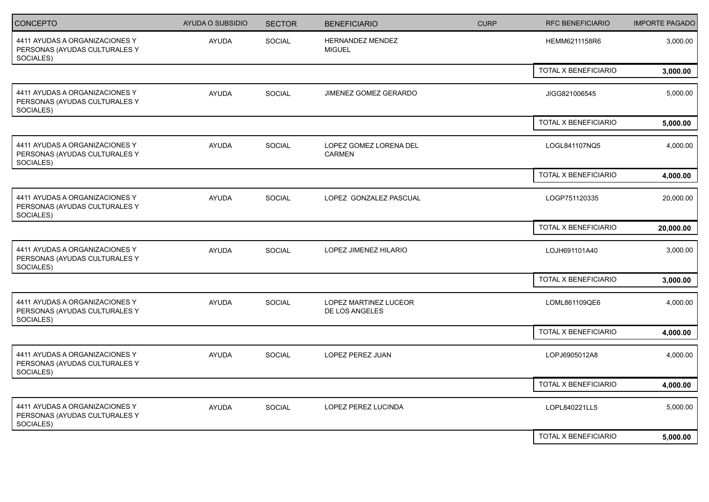| CONCEPTO                                                                     | AYUDA O SUBSIDIO | <b>SECTOR</b> | <b>BENEFICIARIO</b>                     | <b>CURP</b> | <b>RFC BENEFICIARIO</b> | <b>IMPORTE PAGADO</b> |
|------------------------------------------------------------------------------|------------------|---------------|-----------------------------------------|-------------|-------------------------|-----------------------|
| 4411 AYUDAS A ORGANIZACIONES Y<br>PERSONAS (AYUDAS CULTURALES Y<br>SOCIALES) | AYUDA            | <b>SOCIAL</b> | HERNANDEZ MENDEZ<br><b>MIGUEL</b>       |             | HEMM6211158R6           | 3,000.00              |
|                                                                              |                  |               |                                         |             | TOTAL X BENEFICIARIO    | 3,000.00              |
| 4411 AYUDAS A ORGANIZACIONES Y<br>PERSONAS (AYUDAS CULTURALES Y<br>SOCIALES) | <b>AYUDA</b>     | SOCIAL        | JIMENEZ GOMEZ GERARDO                   |             | JIGG821006545           | 5,000.00              |
|                                                                              |                  |               |                                         |             | TOTAL X BENEFICIARIO    | 5,000.00              |
| 4411 AYUDAS A ORGANIZACIONES Y<br>PERSONAS (AYUDAS CULTURALES Y<br>SOCIALES) | <b>AYUDA</b>     | SOCIAL        | LOPEZ GOMEZ LORENA DEL<br>CARMEN        |             | LOGL841107NQ5           | 4,000.00              |
|                                                                              |                  |               |                                         |             | TOTAL X BENEFICIARIO    | 4,000.00              |
| 4411 AYUDAS A ORGANIZACIONES Y<br>PERSONAS (AYUDAS CULTURALES Y<br>SOCIALES) | <b>AYUDA</b>     | SOCIAL        | LOPEZ GONZALEZ PASCUAL                  |             | LOGP751120335           | 20,000.00             |
|                                                                              |                  |               |                                         |             | TOTAL X BENEFICIARIO    | 20,000.00             |
| 4411 AYUDAS A ORGANIZACIONES Y<br>PERSONAS (AYUDAS CULTURALES Y<br>SOCIALES) | <b>AYUDA</b>     | <b>SOCIAL</b> | LOPEZ JIMENEZ HILARIO                   |             | LOJH691101A40           | 3,000.00              |
|                                                                              |                  |               |                                         |             | TOTAL X BENEFICIARIO    | 3,000.00              |
| 4411 AYUDAS A ORGANIZACIONES Y<br>PERSONAS (AYUDAS CULTURALES Y<br>SOCIALES) | <b>AYUDA</b>     | SOCIAL        | LOPEZ MARTINEZ LUCEOR<br>DE LOS ANGELES |             | LOML861109QE6           | 4,000.00              |
|                                                                              |                  |               |                                         |             | TOTAL X BENEFICIARIO    | 4,000.00              |
| 4411 AYUDAS A ORGANIZACIONES Y<br>PERSONAS (AYUDAS CULTURALES Y<br>SOCIALES) | <b>AYUDA</b>     | SOCIAL        | LOPEZ PEREZ JUAN                        |             | LOPJ6905012A8           | 4,000.00              |
|                                                                              |                  |               |                                         |             | TOTAL X BENEFICIARIO    | 4,000.00              |
| 4411 AYUDAS A ORGANIZACIONES Y<br>PERSONAS (AYUDAS CULTURALES Y<br>SOCIALES) | AYUDA            | SOCIAL        | LOPEZ PEREZ LUCINDA                     |             | LOPL840221LL5           | 5,000.00              |
|                                                                              |                  |               |                                         |             | TOTAL X BENEFICIARIO    | 5,000.00              |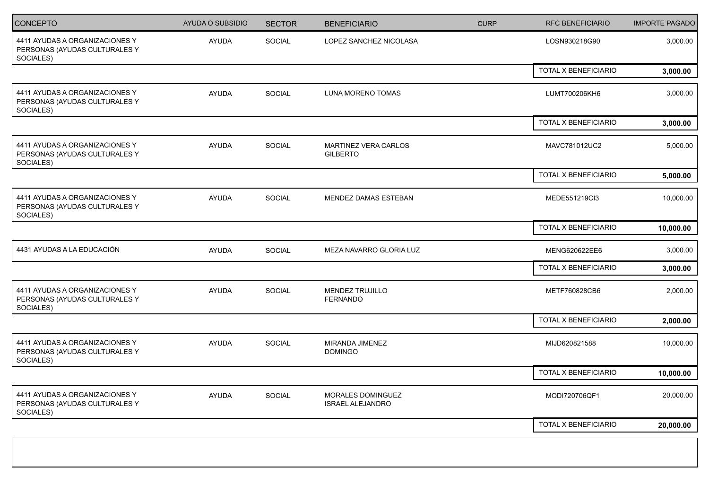| <b>CONCEPTO</b>                                                              | AYUDA O SUBSIDIO | <b>SECTOR</b> | <b>BENEFICIARIO</b>                          | <b>CURP</b> | <b>RFC BENEFICIARIO</b> | <b>IMPORTE PAGADO</b> |
|------------------------------------------------------------------------------|------------------|---------------|----------------------------------------------|-------------|-------------------------|-----------------------|
| 4411 AYUDAS A ORGANIZACIONES Y<br>PERSONAS (AYUDAS CULTURALES Y<br>SOCIALES) | AYUDA            | SOCIAL        | LOPEZ SANCHEZ NICOLASA                       |             | LOSN930218G90           | 3,000.00              |
|                                                                              |                  |               |                                              |             | TOTAL X BENEFICIARIO    | 3,000.00              |
| 4411 AYUDAS A ORGANIZACIONES Y<br>PERSONAS (AYUDAS CULTURALES Y<br>SOCIALES) | <b>AYUDA</b>     | SOCIAL        | LUNA MORENO TOMAS                            |             | LUMT700206KH6           | 3,000.00              |
|                                                                              |                  |               |                                              |             | TOTAL X BENEFICIARIO    | 3,000.00              |
| 4411 AYUDAS A ORGANIZACIONES Y<br>PERSONAS (AYUDAS CULTURALES Y<br>SOCIALES) | <b>AYUDA</b>     | SOCIAL        | MARTINEZ VERA CARLOS<br><b>GILBERTO</b>      |             | MAVC781012UC2           | 5,000.00              |
|                                                                              |                  |               |                                              |             | TOTAL X BENEFICIARIO    | 5,000.00              |
| 4411 AYUDAS A ORGANIZACIONES Y<br>PERSONAS (AYUDAS CULTURALES Y<br>SOCIALES) | <b>AYUDA</b>     | SOCIAL        | MENDEZ DAMAS ESTEBAN                         |             | MEDE551219Cl3           | 10,000.00             |
|                                                                              |                  |               |                                              |             | TOTAL X BENEFICIARIO    | 10,000.00             |
| 4431 AYUDAS A LA EDUCACIÓN                                                   | <b>AYUDA</b>     | SOCIAL        | MEZA NAVARRO GLORIA LUZ                      |             | MENG620622EE6           | 3,000.00              |
|                                                                              |                  |               |                                              |             | TOTAL X BENEFICIARIO    | 3,000.00              |
| 4411 AYUDAS A ORGANIZACIONES Y<br>PERSONAS (AYUDAS CULTURALES Y<br>SOCIALES) | <b>AYUDA</b>     | SOCIAL        | <b>MENDEZ TRUJILLO</b><br><b>FERNANDO</b>    |             | METF760828CB6           | 2,000.00              |
|                                                                              |                  |               |                                              |             | TOTAL X BENEFICIARIO    | 2,000.00              |
| 4411 AYUDAS A ORGANIZACIONES Y<br>PERSONAS (AYUDAS CULTURALES Y<br>SOCIALES) | <b>AYUDA</b>     | SOCIAL        | MIRANDA JIMENEZ<br><b>DOMINGO</b>            |             | MIJD620821588           | 10,000.00             |
|                                                                              |                  |               |                                              |             | TOTAL X BENEFICIARIO    | 10,000.00             |
| 4411 AYUDAS A ORGANIZACIONES Y<br>PERSONAS (AYUDAS CULTURALES Y<br>SOCIALES) | AYUDA            | SOCIAL        | MORALES DOMINGUEZ<br><b>ISRAEL ALEJANDRO</b> |             | MODI720706QF1           | 20,000.00             |
|                                                                              |                  |               |                                              |             | TOTAL X BENEFICIARIO    | 20,000.00             |
|                                                                              |                  |               |                                              |             |                         |                       |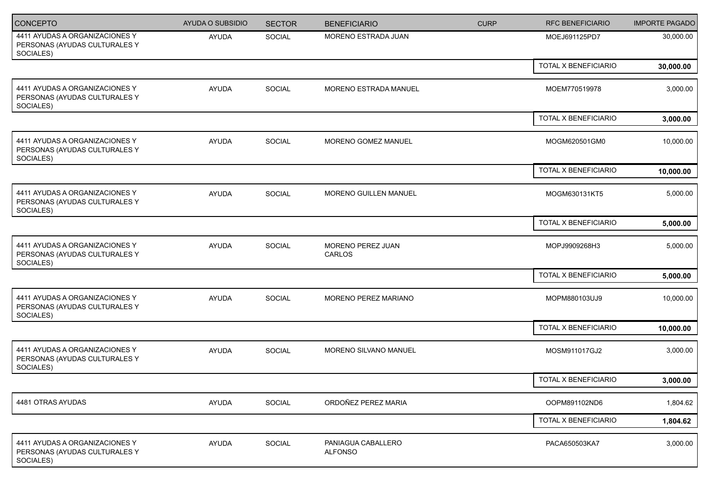| CONCEPTO                                                                     | AYUDA O SUBSIDIO | <b>SECTOR</b> | <b>BENEFICIARIO</b>                  | <b>CURP</b> | <b>RFC BENEFICIARIO</b> | <b>IMPORTE PAGADO</b> |
|------------------------------------------------------------------------------|------------------|---------------|--------------------------------------|-------------|-------------------------|-----------------------|
| 4411 AYUDAS A ORGANIZACIONES Y<br>PERSONAS (AYUDAS CULTURALES Y<br>SOCIALES) | AYUDA            | SOCIAL        | MORENO ESTRADA JUAN                  |             | MOEJ691125PD7           | 30,000.00             |
|                                                                              |                  |               |                                      |             | TOTAL X BENEFICIARIO    | 30,000.00             |
| 4411 AYUDAS A ORGANIZACIONES Y<br>PERSONAS (AYUDAS CULTURALES Y<br>SOCIALES) | AYUDA            | SOCIAL        | MORENO ESTRADA MANUEL                |             | MOEM770519978           | 3,000.00              |
|                                                                              |                  |               |                                      |             | TOTAL X BENEFICIARIO    | 3,000.00              |
| 4411 AYUDAS A ORGANIZACIONES Y<br>PERSONAS (AYUDAS CULTURALES Y<br>SOCIALES) | AYUDA            | SOCIAL        | MORENO GOMEZ MANUEL                  |             | MOGM620501GM0           | 10,000.00             |
|                                                                              |                  |               |                                      |             | TOTAL X BENEFICIARIO    | 10,000.00             |
| 4411 AYUDAS A ORGANIZACIONES Y<br>PERSONAS (AYUDAS CULTURALES Y<br>SOCIALES) | AYUDA            | SOCIAL        | <b>MORENO GUILLEN MANUEL</b>         |             | MOGM630131KT5           | 5,000.00              |
|                                                                              |                  |               |                                      |             | TOTAL X BENEFICIARIO    | 5,000.00              |
| 4411 AYUDAS A ORGANIZACIONES Y<br>PERSONAS (AYUDAS CULTURALES Y<br>SOCIALES) | AYUDA            | SOCIAL        | MORENO PEREZ JUAN<br>CARLOS          |             | MOPJ9909268H3           | 5,000.00              |
|                                                                              |                  |               |                                      |             | TOTAL X BENEFICIARIO    | 5,000.00              |
| 4411 AYUDAS A ORGANIZACIONES Y<br>PERSONAS (AYUDAS CULTURALES Y<br>SOCIALES) | AYUDA            | SOCIAL        | MORENO PEREZ MARIANO                 |             | MOPM880103UJ9           | 10,000.00             |
|                                                                              |                  |               |                                      |             | TOTAL X BENEFICIARIO    | 10,000.00             |
| 4411 AYUDAS A ORGANIZACIONES Y<br>PERSONAS (AYUDAS CULTURALES Y<br>SOCIALES) | <b>AYUDA</b>     | SOCIAL        | MORENO SILVANO MANUEL                |             | MOSM911017GJ2           | 3,000.00              |
|                                                                              |                  |               |                                      |             | TOTAL X BENEFICIARIO    | 3,000.00              |
| 4481 OTRAS AYUDAS                                                            | AYUDA            | SOCIAL        | ORDOÑEZ PEREZ MARIA                  |             | OOPM891102ND6           | 1,804.62              |
|                                                                              |                  |               |                                      |             | TOTAL X BENEFICIARIO    | 1,804.62              |
| 4411 AYUDAS A ORGANIZACIONES Y<br>PERSONAS (AYUDAS CULTURALES Y<br>SOCIALES) | AYUDA            | SOCIAL        | PANIAGUA CABALLERO<br><b>ALFONSO</b> |             | PACA650503KA7           | 3,000.00              |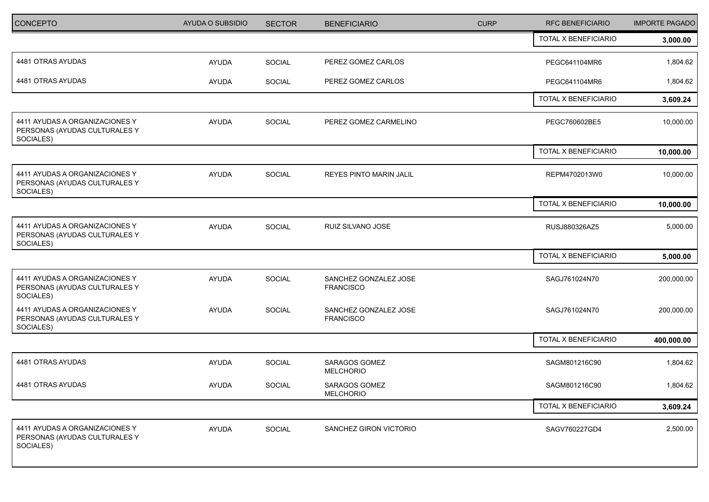| <b>CONCEPTO</b>                                                              | AYUDA O SUBSIDIO | <b>SECTOR</b> | <b>BENEFICIARIO</b>                       | <b>CURP</b> | <b>RFC BENEFICIARIO</b> | <b>IMPORTE PAGADO</b> |
|------------------------------------------------------------------------------|------------------|---------------|-------------------------------------------|-------------|-------------------------|-----------------------|
|                                                                              |                  |               |                                           |             | TOTAL X BENEFICIARIO    | 3,000.00              |
| 4481 OTRAS AYUDAS                                                            | AYUDA            | SOCIAL        | PEREZ GOMEZ CARLOS                        |             | PEGC641104MR6           | 1,804.62              |
| 4481 OTRAS AYUDAS                                                            | AYUDA            | SOCIAL        | PEREZ GOMEZ CARLOS                        |             | PEGC641104MR6           | 1,804.62              |
|                                                                              |                  |               |                                           |             | TOTAL X BENEFICIARIO    | 3,609.24              |
| 4411 AYUDAS A ORGANIZACIONES Y<br>PERSONAS (AYUDAS CULTURALES Y<br>SOCIALES) | AYUDA            | <b>SOCIAL</b> | PEREZ GOMEZ CARMELINO                     |             | PEGC760602BE5           | 10,000.00             |
|                                                                              |                  |               |                                           |             | TOTAL X BENEFICIARIO    | 10,000.00             |
| 4411 AYUDAS A ORGANIZACIONES Y<br>PERSONAS (AYUDAS CULTURALES Y<br>SOCIALES) | AYUDA            | SOCIAL        | REYES PINTO MARIN JALIL                   |             | REPM4702013W0           | 10,000.00             |
|                                                                              |                  |               |                                           |             | TOTAL X BENEFICIARIO    | 10,000.00             |
| 4411 AYUDAS A ORGANIZACIONES Y<br>PERSONAS (AYUDAS CULTURALES Y<br>SOCIALES) | <b>AYUDA</b>     | <b>SOCIAL</b> | RUIZ SILVANO JOSE                         |             | RUSJ880326AZ5           | 5,000.00              |
|                                                                              |                  |               |                                           |             | TOTAL X BENEFICIARIO    | 5,000.00              |
| 4411 AYUDAS A ORGANIZACIONES Y<br>PERSONAS (AYUDAS CULTURALES Y<br>SOCIALES) | AYUDA            | SOCIAL        | SANCHEZ GONZALEZ JOSE<br><b>FRANCISCO</b> |             | SAGJ761024N70           | 200,000.00            |
| 4411 AYUDAS A ORGANIZACIONES Y<br>PERSONAS (AYUDAS CULTURALES Y<br>SOCIALES) | AYUDA            | SOCIAL        | SANCHEZ GONZALEZ JOSE<br><b>FRANCISCO</b> |             | SAGJ761024N70           | 200,000.00            |
|                                                                              |                  |               |                                           |             | TOTAL X BENEFICIARIO    | 400,000.00            |
| 4481 OTRAS AYUDAS                                                            | AYUDA            | SOCIAL        | <b>SARAGOS GOMEZ</b><br><b>MELCHORIO</b>  |             | SAGM801216C90           | 1,804.62              |
| 4481 OTRAS AYUDAS                                                            | AYUDA            | <b>SOCIAL</b> | SARAGOS GOMEZ<br>MELCHORIO                |             | SAGM801216C90           | 1,804.62              |
|                                                                              |                  |               |                                           |             | TOTAL X BENEFICIARIO    | 3,609.24              |
| 4411 AYUDAS A ORGANIZACIONES Y<br>PERSONAS (AYUDAS CULTURALES Y<br>SOCIALES) | AYUDA            | SOCIAL        | SANCHEZ GIRON VICTORIO                    |             | SAGV760227GD4           | 2,500.00              |